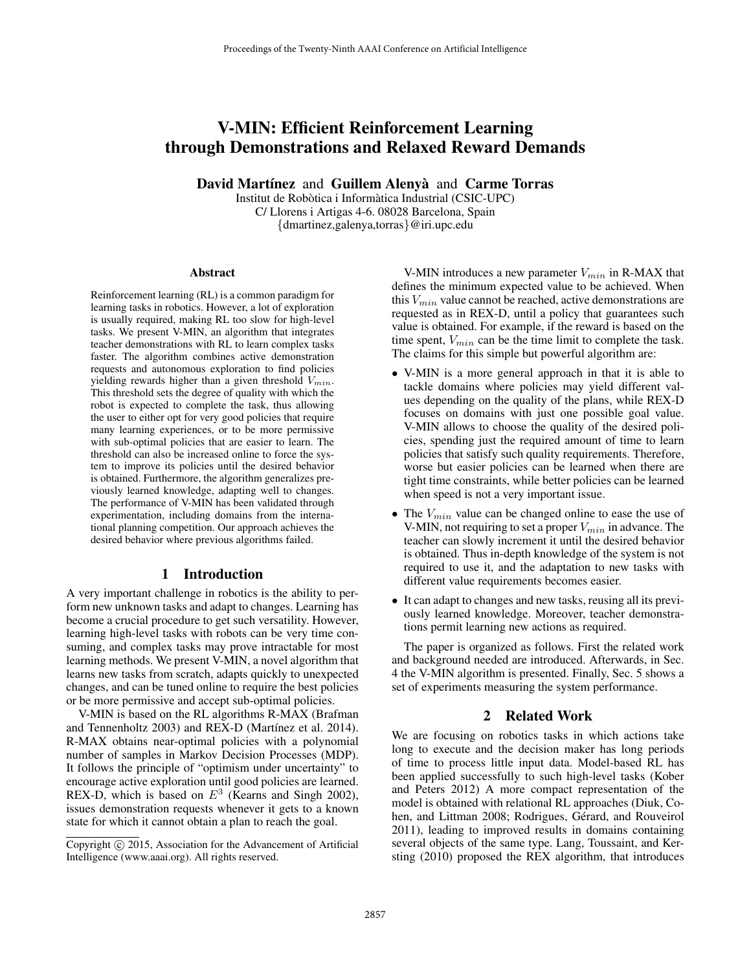# V-MIN: Efficient Reinforcement Learning through Demonstrations and Relaxed Reward Demands

David Martínez and Guillem Alenya` and Carme Torras

Institut de Robòtica i Informàtica Industrial (CSIC-UPC) C/ Llorens i Artigas 4-6. 08028 Barcelona, Spain {dmartinez,galenya,torras}@iri.upc.edu

#### Abstract

Reinforcement learning (RL) is a common paradigm for learning tasks in robotics. However, a lot of exploration is usually required, making RL too slow for high-level tasks. We present V-MIN, an algorithm that integrates teacher demonstrations with RL to learn complex tasks faster. The algorithm combines active demonstration requests and autonomous exploration to find policies yielding rewards higher than a given threshold  $V_{min}$ . This threshold sets the degree of quality with which the robot is expected to complete the task, thus allowing the user to either opt for very good policies that require many learning experiences, or to be more permissive with sub-optimal policies that are easier to learn. The threshold can also be increased online to force the system to improve its policies until the desired behavior is obtained. Furthermore, the algorithm generalizes previously learned knowledge, adapting well to changes. The performance of V-MIN has been validated through experimentation, including domains from the international planning competition. Our approach achieves the desired behavior where previous algorithms failed.

### 1 Introduction

A very important challenge in robotics is the ability to perform new unknown tasks and adapt to changes. Learning has become a crucial procedure to get such versatility. However, learning high-level tasks with robots can be very time consuming, and complex tasks may prove intractable for most learning methods. We present V-MIN, a novel algorithm that learns new tasks from scratch, adapts quickly to unexpected changes, and can be tuned online to require the best policies or be more permissive and accept sub-optimal policies.

V-MIN is based on the RL algorithms R-MAX (Brafman and Tennenholtz 2003) and REX-D (Martínez et al. 2014). R-MAX obtains near-optimal policies with a polynomial number of samples in Markov Decision Processes (MDP). It follows the principle of "optimism under uncertainty" to encourage active exploration until good policies are learned. REX-D, which is based on  $E^3$  (Kearns and Singh 2002), issues demonstration requests whenever it gets to a known state for which it cannot obtain a plan to reach the goal.

V-MIN introduces a new parameter  $V_{min}$  in R-MAX that defines the minimum expected value to be achieved. When this  $V_{min}$  value cannot be reached, active demonstrations are requested as in REX-D, until a policy that guarantees such value is obtained. For example, if the reward is based on the time spent,  $V_{min}$  can be the time limit to complete the task. The claims for this simple but powerful algorithm are:

- V-MIN is a more general approach in that it is able to tackle domains where policies may yield different values depending on the quality of the plans, while REX-D focuses on domains with just one possible goal value. V-MIN allows to choose the quality of the desired policies, spending just the required amount of time to learn policies that satisfy such quality requirements. Therefore, worse but easier policies can be learned when there are tight time constraints, while better policies can be learned when speed is not a very important issue.
- The  $V_{min}$  value can be changed online to ease the use of V-MIN, not requiring to set a proper  $V_{min}$  in advance. The teacher can slowly increment it until the desired behavior is obtained. Thus in-depth knowledge of the system is not required to use it, and the adaptation to new tasks with different value requirements becomes easier.
- It can adapt to changes and new tasks, reusing all its previously learned knowledge. Moreover, teacher demonstrations permit learning new actions as required.

The paper is organized as follows. First the related work and background needed are introduced. Afterwards, in Sec. 4 the V-MIN algorithm is presented. Finally, Sec. 5 shows a set of experiments measuring the system performance.

# 2 Related Work

We are focusing on robotics tasks in which actions take long to execute and the decision maker has long periods of time to process little input data. Model-based RL has been applied successfully to such high-level tasks (Kober and Peters 2012) A more compact representation of the model is obtained with relational RL approaches (Diuk, Cohen, and Littman 2008; Rodrigues, Gérard, and Rouveirol 2011), leading to improved results in domains containing several objects of the same type. Lang, Toussaint, and Kersting (2010) proposed the REX algorithm, that introduces

Copyright © 2015, Association for the Advancement of Artificial Intelligence (www.aaai.org). All rights reserved.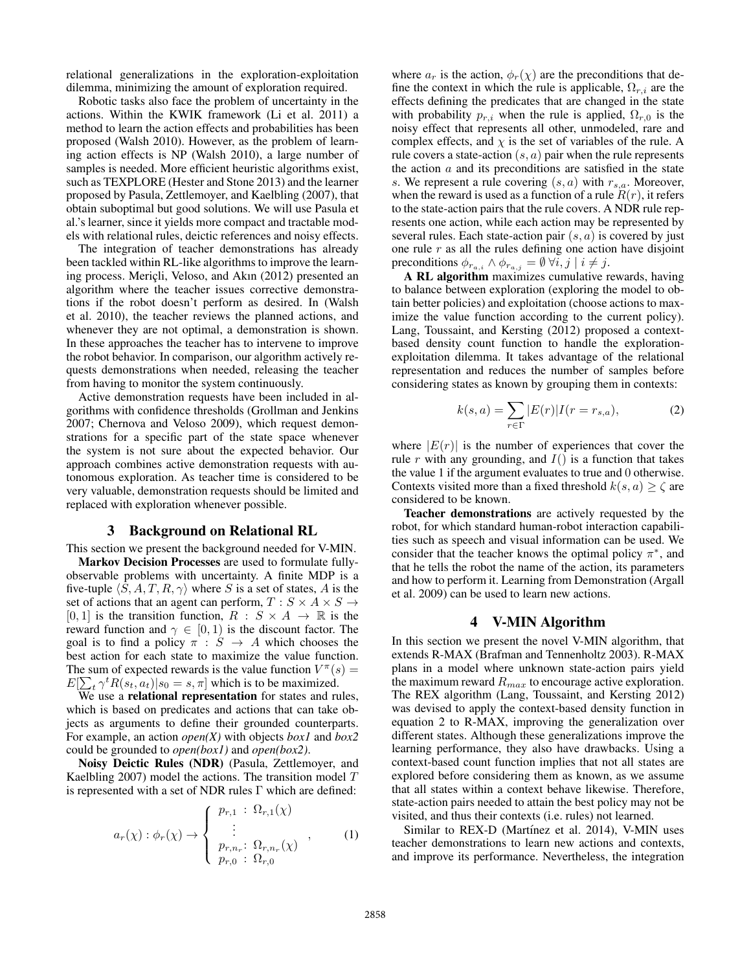relational generalizations in the exploration-exploitation dilemma, minimizing the amount of exploration required.

Robotic tasks also face the problem of uncertainty in the actions. Within the KWIK framework (Li et al. 2011) a method to learn the action effects and probabilities has been proposed (Walsh 2010). However, as the problem of learning action effects is NP (Walsh 2010), a large number of samples is needed. More efficient heuristic algorithms exist, such as TEXPLORE (Hester and Stone 2013) and the learner proposed by Pasula, Zettlemoyer, and Kaelbling (2007), that obtain suboptimal but good solutions. We will use Pasula et al.'s learner, since it yields more compact and tractable models with relational rules, deictic references and noisy effects.

The integration of teacher demonstrations has already been tackled within RL-like algorithms to improve the learning process. Mericli, Veloso, and Akın (2012) presented an algorithm where the teacher issues corrective demonstrations if the robot doesn't perform as desired. In (Walsh et al. 2010), the teacher reviews the planned actions, and whenever they are not optimal, a demonstration is shown. In these approaches the teacher has to intervene to improve the robot behavior. In comparison, our algorithm actively requests demonstrations when needed, releasing the teacher from having to monitor the system continuously.

Active demonstration requests have been included in algorithms with confidence thresholds (Grollman and Jenkins 2007; Chernova and Veloso 2009), which request demonstrations for a specific part of the state space whenever the system is not sure about the expected behavior. Our approach combines active demonstration requests with autonomous exploration. As teacher time is considered to be very valuable, demonstration requests should be limited and replaced with exploration whenever possible.

## 3 Background on Relational RL

This section we present the background needed for V-MIN. Markov Decision Processes are used to formulate fullyobservable problems with uncertainty. A finite MDP is a five-tuple  $\langle S, A, T, R, \gamma \rangle$  where S is a set of states, A is the set of actions that an agent can perform,  $T : S \times A \times S \rightarrow$  $[0, 1]$  is the transition function,  $R : S \times A \rightarrow \mathbb{R}$  is the reward function and  $\gamma \in [0, 1)$  is the discount factor. The goal is to find a policy  $\pi : S \rightarrow A$  which chooses the best action for each state to maximize the value function. The sum of expected rewards is the value function  $V^{\pi}(s)$  =  $E[\sum_{t} \gamma^{t} R(s_t, a_t) | s_0 = s, \pi]$  which is to be maximized.

We use a relational representation for states and rules, which is based on predicates and actions that can take objects as arguments to define their grounded counterparts. For example, an action *open(X)* with objects *box1* and *box2* could be grounded to *open(box1)* and *open(box2)*.

Noisy Deictic Rules (NDR) (Pasula, Zettlemoyer, and Kaelbling 2007) model the actions. The transition model  $T$ is represented with a set of NDR rules Γ which are defined:

$$
a_r(\chi) : \phi_r(\chi) \to \begin{cases} p_{r,1} : \Omega_{r,1}(\chi) \\ \vdots \\ p_{r,n_r} : \Omega_{r,n_r}(\chi) \\ p_{r,0} : \Omega_{r,0} \end{cases}
$$
 (1)

where  $a_r$  is the action,  $\phi_r(\chi)$  are the preconditions that define the context in which the rule is applicable,  $\Omega_{r,i}$  are the effects defining the predicates that are changed in the state with probability  $p_{r,i}$  when the rule is applied,  $\Omega_{r,0}$  is the noisy effect that represents all other, unmodeled, rare and complex effects, and  $\chi$  is the set of variables of the rule. A rule covers a state-action  $(s, a)$  pair when the rule represents the action  $a$  and its preconditions are satisfied in the state s. We represent a rule covering  $(s, a)$  with  $r_{s,a}$ . Moreover, when the reward is used as a function of a rule  $R(r)$ , it refers to the state-action pairs that the rule covers. A NDR rule represents one action, while each action may be represented by several rules. Each state-action pair  $(s, a)$  is covered by just one rule  $r$  as all the rules defining one action have disjoint preconditions  $\phi_{r_{a,i}} \wedge \phi_{r_{a,j}} = \emptyset \ \forall i,j \mid i \neq j.$ 

A RL algorithm maximizes cumulative rewards, having to balance between exploration (exploring the model to obtain better policies) and exploitation (choose actions to maximize the value function according to the current policy). Lang, Toussaint, and Kersting (2012) proposed a contextbased density count function to handle the explorationexploitation dilemma. It takes advantage of the relational representation and reduces the number of samples before considering states as known by grouping them in contexts:

$$
k(s, a) = \sum_{r \in \Gamma} |E(r)| I(r = r_{s,a}), \tag{2}
$$

where  $|E(r)|$  is the number of experiences that cover the rule r with any grounding, and  $I()$  is a function that takes the value 1 if the argument evaluates to true and 0 otherwise. Contexts visited more than a fixed threshold  $k(s, a) \geq \zeta$  are considered to be known.

Teacher demonstrations are actively requested by the robot, for which standard human-robot interaction capabilities such as speech and visual information can be used. We consider that the teacher knows the optimal policy  $\pi^*$ , and that he tells the robot the name of the action, its parameters and how to perform it. Learning from Demonstration (Argall et al. 2009) can be used to learn new actions.

## 4 V-MIN Algorithm

In this section we present the novel V-MIN algorithm, that extends R-MAX (Brafman and Tennenholtz 2003). R-MAX plans in a model where unknown state-action pairs yield the maximum reward  $R_{max}$  to encourage active exploration. The REX algorithm (Lang, Toussaint, and Kersting 2012) was devised to apply the context-based density function in equation 2 to R-MAX, improving the generalization over different states. Although these generalizations improve the learning performance, they also have drawbacks. Using a context-based count function implies that not all states are explored before considering them as known, as we assume that all states within a context behave likewise. Therefore, state-action pairs needed to attain the best policy may not be visited, and thus their contexts (i.e. rules) not learned.

Similar to REX-D (Martínez et al. 2014), V-MIN uses teacher demonstrations to learn new actions and contexts, and improve its performance. Nevertheless, the integration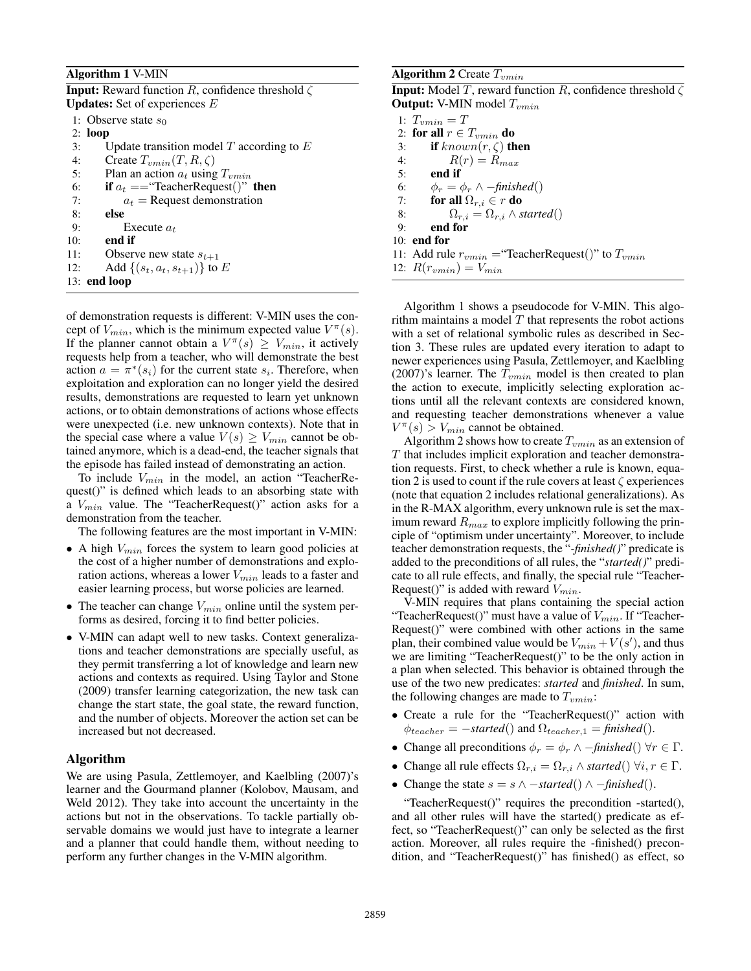## Algorithm 1 V-MIN

| <b>Input:</b> Reward function R, confidence threshold $\zeta$ |  |
|---------------------------------------------------------------|--|
| <b>Updates:</b> Set of experiences $E$                        |  |

|     | 1: Observe state $s_0$                       |
|-----|----------------------------------------------|
|     | $2:$ loop                                    |
| 3:  | Update transition model $T$ according to $E$ |
| 4:  | Create $T_{vmin}(T, R, \zeta)$               |
| 5:  | Plan an action $a_t$ using $T_{vmin}$        |
| 6:  | if $a_t =$ "TeacherRequest()" then           |
| 7:  | $a_t$ = Request demonstration                |
| 8:  | else                                         |
| 9:  | Execute $a_t$                                |
| 10: | end if                                       |
| 11: | Observe new state $s_{t+1}$                  |
| 12: | Add $\{(s_t, a_t, s_{t+1})\}$ to E           |
|     | $13:$ end loop                               |

of demonstration requests is different: V-MIN uses the concept of  $V_{min}$ , which is the minimum expected value  $V^{\pi}(s)$ . If the planner cannot obtain a  $V^{\pi}(s) \geq V_{min}$ , it actively requests help from a teacher, who will demonstrate the best action  $a = \pi^*(s_i)$  for the current state  $s_i$ . Therefore, when exploitation and exploration can no longer yield the desired results, demonstrations are requested to learn yet unknown actions, or to obtain demonstrations of actions whose effects were unexpected (i.e. new unknown contexts). Note that in the special case where a value  $V(s) \geq V_{min}$  cannot be obtained anymore, which is a dead-end, the teacher signals that the episode has failed instead of demonstrating an action.

To include  $V_{min}$  in the model, an action "TeacherRequest()" is defined which leads to an absorbing state with a  $V_{min}$  value. The "TeacherRequest()" action asks for a demonstration from the teacher.

The following features are the most important in V-MIN:

- A high  $V_{min}$  forces the system to learn good policies at the cost of a higher number of demonstrations and exploration actions, whereas a lower  $V_{min}$  leads to a faster and easier learning process, but worse policies are learned.
- The teacher can change  $V_{min}$  online until the system performs as desired, forcing it to find better policies.
- V-MIN can adapt well to new tasks. Context generalizations and teacher demonstrations are specially useful, as they permit transferring a lot of knowledge and learn new actions and contexts as required. Using Taylor and Stone (2009) transfer learning categorization, the new task can change the start state, the goal state, the reward function, and the number of objects. Moreover the action set can be increased but not decreased.

# Algorithm

We are using Pasula, Zettlemoyer, and Kaelbling (2007)'s learner and the Gourmand planner (Kolobov, Mausam, and Weld 2012). They take into account the uncertainty in the actions but not in the observations. To tackle partially observable domains we would just have to integrate a learner and a planner that could handle them, without needing to perform any further changes in the V-MIN algorithm.

## Algorithm 2 Create  $T_{vmin}$

**Input:** Model T, reward function R, confidence threshold  $\zeta$ **Output:** V-MIN model  $T_{vmin}$ 

1:  $T_{vmin} = T$ 2: for all  $r \in T_{vmin}$  do 3: if  $known(r, \zeta)$  then 4:  $R(r) = R_{max}$ <br>5: **end if** 5: end if 6:  $\phi_r = \phi_r \wedge -\text{finished}()$ <br>7: **for all**  $\Omega_{r,i} \in r$  **do** 7: for all  $\Omega_{r,i} \in r$  do<br>8:  $\Omega_{r,i} = \Omega_{r,i} \wedge s$  $\Omega_{r,i} = \Omega_{r,i} \wedge started()$ 9: end for 10: end for 11: Add rule  $r_{vmin}$  = "TeacherRequest()" to  $T_{vmin}$ 12:  $R(r_{vmin}) = V_{min}$ 

Algorithm 1 shows a pseudocode for V-MIN. This algorithm maintains a model  $T$  that represents the robot actions with a set of relational symbolic rules as described in Section 3. These rules are updated every iteration to adapt to newer experiences using Pasula, Zettlemoyer, and Kaelbling (2007)'s learner. The  $T_{vmin}$  model is then created to plan the action to execute, implicitly selecting exploration actions until all the relevant contexts are considered known, and requesting teacher demonstrations whenever a value  $V^{\pi}(s) > V_{min}$  cannot be obtained.

Algorithm 2 shows how to create  $T_{vmin}$  as an extension of T that includes implicit exploration and teacher demonstration requests. First, to check whether a rule is known, equation 2 is used to count if the rule covers at least  $\zeta$  experiences (note that equation 2 includes relational generalizations). As in the R-MAX algorithm, every unknown rule is set the maximum reward  $R_{max}$  to explore implicitly following the principle of "optimism under uncertainty". Moreover, to include teacher demonstration requests, the "*-finished()*" predicate is added to the preconditions of all rules, the "*started()*" predicate to all rule effects, and finally, the special rule "Teacher-Request()" is added with reward  $V_{min}$ .

V-MIN requires that plans containing the special action "TeacherRequest()" must have a value of  $V_{min}$ . If "Teacher-Request()" were combined with other actions in the same plan, their combined value would be  $V_{min} + V(s')$ , and thus we are limiting "TeacherRequest()" to be the only action in a plan when selected. This behavior is obtained through the use of the two new predicates: *started* and *finished*. In sum, the following changes are made to  $T_{vmin}$ :

- Create a rule for the "TeacherRequest()" action with  $\phi_{teacher} = -\text{started}()$  and  $\Omega_{teacher,1} = \text{finished}()$ .
- Change all preconditions  $\phi_r = \phi_r \wedge -\text{finished}() \forall r \in \Gamma$ .
- Change all rule effects  $\Omega_{r,i} = \Omega_{r,i} \wedge started() \forall i, r \in \Gamma$ .
- Change the state  $s = s \land -\text{started}() \land -\text{finished}()$ .

"TeacherRequest()" requires the precondition -started(), and all other rules will have the started() predicate as effect, so "TeacherRequest()" can only be selected as the first action. Moreover, all rules require the -finished() precondition, and "TeacherRequest()" has finished() as effect, so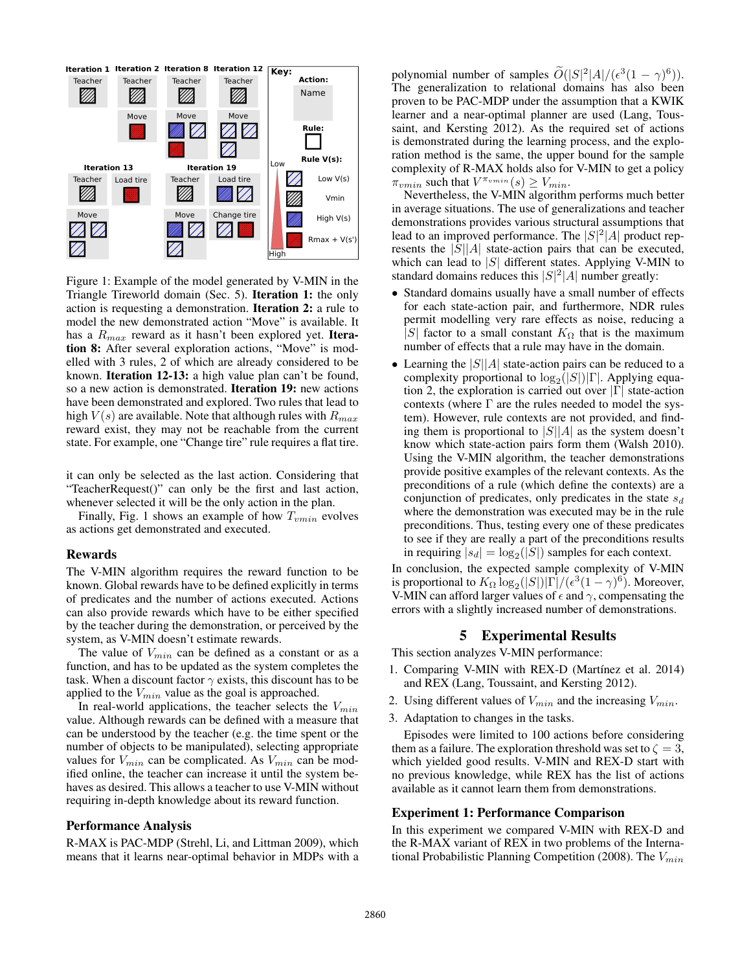

Figure 1: Example of the model generated by V-MIN in the Triangle Tireworld domain (Sec. 5). Iteration 1: the only action is requesting a demonstration. Iteration 2: a rule to model the new demonstrated action "Move" is available. It has a  $R_{max}$  reward as it hasn't been explored yet. Iteration 8: After several exploration actions, "Move" is modelled with 3 rules, 2 of which are already considered to be known. Iteration 12-13: a high value plan can't be found, so a new action is demonstrated. Iteration 19: new actions have been demonstrated and explored. Two rules that lead to high  $V(s)$  are available. Note that although rules with  $R_{max}$ reward exist, they may not be reachable from the current state. For example, one "Change tire" rule requires a flat tire.

it can only be selected as the last action. Considering that "TeacherRequest()" can only be the first and last action, whenever selected it will be the only action in the plan.

Finally, Fig. 1 shows an example of how  $T_{vmin}$  evolves as actions get demonstrated and executed.

### Rewards

The V-MIN algorithm requires the reward function to be known. Global rewards have to be defined explicitly in terms of predicates and the number of actions executed. Actions can also provide rewards which have to be either specified by the teacher during the demonstration, or perceived by the system, as V-MIN doesn't estimate rewards.

The value of  $V_{min}$  can be defined as a constant or as a function, and has to be updated as the system completes the task. When a discount factor  $\gamma$  exists, this discount has to be applied to the  $V_{min}$  value as the goal is approached.

In real-world applications, the teacher selects the  $V_{min}$ value. Although rewards can be defined with a measure that can be understood by the teacher (e.g. the time spent or the number of objects to be manipulated), selecting appropriate values for  $V_{min}$  can be complicated. As  $V_{min}$  can be modified online, the teacher can increase it until the system behaves as desired. This allows a teacher to use V-MIN without requiring in-depth knowledge about its reward function.

# Performance Analysis

R-MAX is PAC-MDP (Strehl, Li, and Littman 2009), which means that it learns near-optimal behavior in MDPs with a

polynomial number of samples  $\tilde{O}(|S|^2|A|/(\epsilon^3(1-\gamma)^6)).$ The generalization to relational domains has also been proven to be PAC-MDP under the assumption that a KWIK learner and a near-optimal planner are used (Lang, Toussaint, and Kersting 2012). As the required set of actions is demonstrated during the learning process, and the exploration method is the same, the upper bound for the sample complexity of R-MAX holds also for V-MIN to get a policy  $\pi_{vmin}$  such that  $V^{\pi_{vmin}}(s) \geq V_{min}$ .

Nevertheless, the V-MIN algorithm performs much better in average situations. The use of generalizations and teacher demonstrations provides various structural assumptions that lead to an improved performance. The  $|S|^2|A|$  product represents the  $|S||A|$  state-action pairs that can be executed, which can lead to  $|S|$  different states. Applying V-MIN to standard domains reduces this  $|S|^2|A|$  number greatly:

- Standard domains usually have a small number of effects for each state-action pair, and furthermore, NDR rules permit modelling very rare effects as noise, reducing a |S| factor to a small constant  $K_{\Omega}$  that is the maximum number of effects that a rule may have in the domain.
- Learning the  $|S||A|$  state-action pairs can be reduced to a complexity proportional to  $log_2(|S|)|\Gamma|$ . Applying equation 2, the exploration is carried out over  $|\Gamma|$  state-action contexts (where  $\Gamma$  are the rules needed to model the system). However, rule contexts are not provided, and finding them is proportional to  $|S||A|$  as the system doesn't know which state-action pairs form them (Walsh 2010). Using the V-MIN algorithm, the teacher demonstrations provide positive examples of the relevant contexts. As the preconditions of a rule (which define the contexts) are a conjunction of predicates, only predicates in the state  $s_d$ where the demonstration was executed may be in the rule preconditions. Thus, testing every one of these predicates to see if they are really a part of the preconditions results in requiring  $|s_d| = \log_2(|S|)$  samples for each context.

In conclusion, the expected sample complexity of V-MIN is proportional to  $K_{\Omega} \log_2(|S|)|\Gamma|/(\epsilon^3(1-\gamma)^6)$ . Moreover, V-MIN can afford larger values of  $\epsilon$  and  $\gamma$ , compensating the errors with a slightly increased number of demonstrations.

# 5 Experimental Results

This section analyzes V-MIN performance:

- 1. Comparing V-MIN with REX-D (Martínez et al. 2014) and REX (Lang, Toussaint, and Kersting 2012).
- 2. Using different values of  $V_{min}$  and the increasing  $V_{min}$ .
- 3. Adaptation to changes in the tasks.

Episodes were limited to 100 actions before considering them as a failure. The exploration threshold was set to  $\zeta = 3$ , which yielded good results. V-MIN and REX-D start with no previous knowledge, while REX has the list of actions available as it cannot learn them from demonstrations.

### Experiment 1: Performance Comparison

In this experiment we compared V-MIN with REX-D and the R-MAX variant of REX in two problems of the International Probabilistic Planning Competition (2008). The  $V_{min}$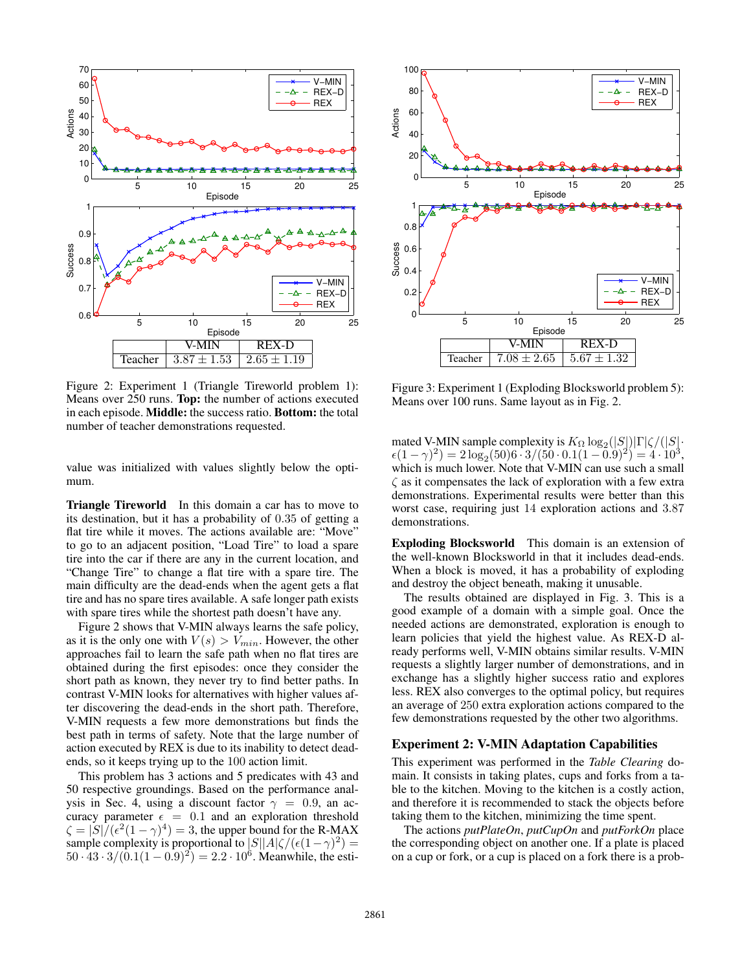

Figure 2: Experiment 1 (Triangle Tireworld problem 1): Means over 250 runs. Top: the number of actions executed in each episode. Middle: the success ratio. Bottom: the total number of teacher demonstrations requested.

value was initialized with values slightly below the optimum.

Triangle Tireworld In this domain a car has to move to its destination, but it has a probability of 0.35 of getting a flat tire while it moves. The actions available are: "Move" to go to an adjacent position, "Load Tire" to load a spare tire into the car if there are any in the current location, and "Change Tire" to change a flat tire with a spare tire. The main difficulty are the dead-ends when the agent gets a flat tire and has no spare tires available. A safe longer path exists with spare tires while the shortest path doesn't have any.

Figure 2 shows that V-MIN always learns the safe policy, as it is the only one with  $V(s) > V_{min}$ . However, the other approaches fail to learn the safe path when no flat tires are obtained during the first episodes: once they consider the short path as known, they never try to find better paths. In contrast V-MIN looks for alternatives with higher values after discovering the dead-ends in the short path. Therefore, V-MIN requests a few more demonstrations but finds the best path in terms of safety. Note that the large number of action executed by REX is due to its inability to detect deadends, so it keeps trying up to the 100 action limit.

This problem has 3 actions and 5 predicates with 43 and 50 respective groundings. Based on the performance analysis in Sec. 4, using a discount factor  $\gamma = 0.9$ , an accuracy parameter  $\epsilon = 0.1$  and an exploration threshold  $\zeta = |S|/(\epsilon^2(1-\gamma)^4) = 3$ , the upper bound for the R-MAX sample complexity is proportional to  $|S||A|\zeta/(\epsilon(1-\gamma)^2) =$  $50 \cdot 43 \cdot 3 / (0.1(1 - 0.9)^2) = 2.2 \cdot 10^6$ . Meanwhile, the esti-



Figure 3: Experiment 1 (Exploding Blocksworld problem 5): Means over 100 runs. Same layout as in Fig. 2.

mated V-MIN sample complexity is  $K_{\Omega} \log_2(|S|) |\Gamma| \zeta / (|S| \cdot )$  $\epsilon (1-\gamma)^2) = 2 \log_2 (50) 6 \cdot 3 / (50 \cdot 0.1 (1-0.9)^2) = 4 \cdot 10^3,$ which is much lower. Note that V-MIN can use such a small  $\zeta$  as it compensates the lack of exploration with a few extra demonstrations. Experimental results were better than this worst case, requiring just 14 exploration actions and 3.87 demonstrations.

Exploding Blocksworld This domain is an extension of the well-known Blocksworld in that it includes dead-ends. When a block is moved, it has a probability of exploding and destroy the object beneath, making it unusable.

The results obtained are displayed in Fig. 3. This is a good example of a domain with a simple goal. Once the needed actions are demonstrated, exploration is enough to learn policies that yield the highest value. As REX-D already performs well, V-MIN obtains similar results. V-MIN requests a slightly larger number of demonstrations, and in exchange has a slightly higher success ratio and explores less. REX also converges to the optimal policy, but requires an average of 250 extra exploration actions compared to the few demonstrations requested by the other two algorithms.

## Experiment 2: V-MIN Adaptation Capabilities

This experiment was performed in the *Table Clearing* domain. It consists in taking plates, cups and forks from a table to the kitchen. Moving to the kitchen is a costly action, and therefore it is recommended to stack the objects before taking them to the kitchen, minimizing the time spent.

The actions *putPlateOn*, *putCupOn* and *putForkOn* place the corresponding object on another one. If a plate is placed on a cup or fork, or a cup is placed on a fork there is a prob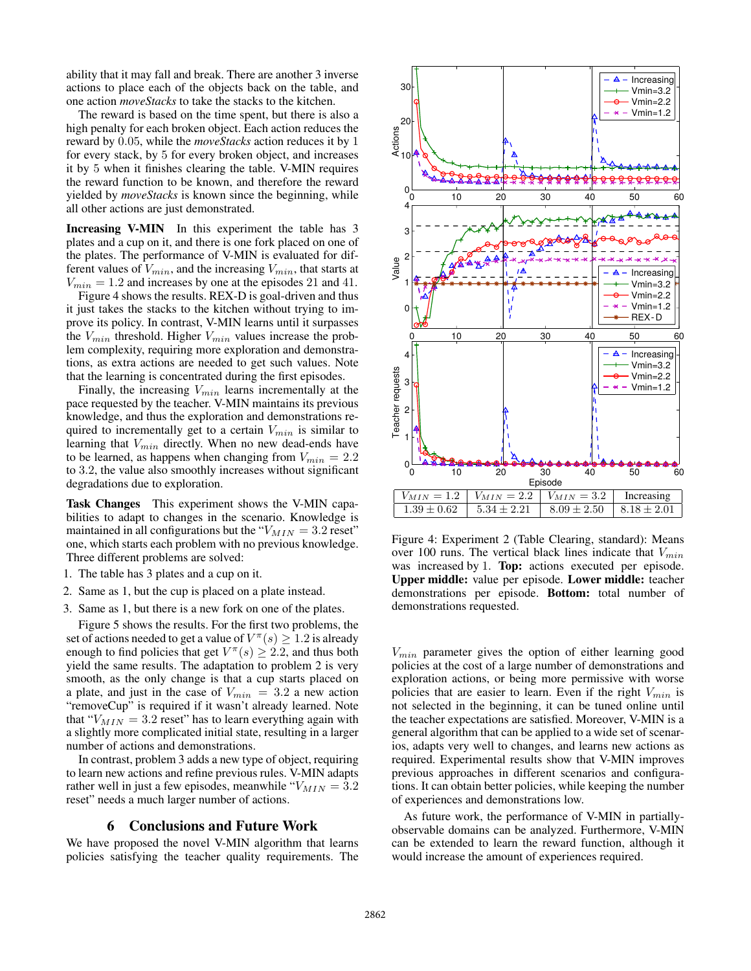ability that it may fall and break. There are another 3 inverse actions to place each of the objects back on the table, and one action *moveStacks* to take the stacks to the kitchen.

The reward is based on the time spent, but there is also a high penalty for each broken object. Each action reduces the reward by 0.05, while the *moveStacks* action reduces it by 1 for every stack, by 5 for every broken object, and increases it by 5 when it finishes clearing the table. V-MIN requires the reward function to be known, and therefore the reward yielded by *moveStacks* is known since the beginning, while all other actions are just demonstrated.

Increasing V-MIN In this experiment the table has 3 plates and a cup on it, and there is one fork placed on one of the plates. The performance of V-MIN is evaluated for different values of  $V_{min}$ , and the increasing  $V_{min}$ , that starts at  $V_{min} = 1.2$  and increases by one at the episodes 21 and 41.

Figure 4 shows the results. REX-D is goal-driven and thus it just takes the stacks to the kitchen without trying to improve its policy. In contrast, V-MIN learns until it surpasses the  $V_{min}$  threshold. Higher  $V_{min}$  values increase the problem complexity, requiring more exploration and demonstrations, as extra actions are needed to get such values. Note that the learning is concentrated during the first episodes.

Finally, the increasing  $V_{min}$  learns incrementally at the pace requested by the teacher. V-MIN maintains its previous knowledge, and thus the exploration and demonstrations required to incrementally get to a certain  $V_{min}$  is similar to learning that  $V_{min}$  directly. When no new dead-ends have to be learned, as happens when changing from  $V_{min} = 2.2$ to 3.2, the value also smoothly increases without significant degradations due to exploration.

Task Changes This experiment shows the V-MIN capabilities to adapt to changes in the scenario. Knowledge is maintained in all configurations but the " $V_{MIN} = 3.2$  reset" one, which starts each problem with no previous knowledge. Three different problems are solved:

- 1. The table has 3 plates and a cup on it.
- 2. Same as 1, but the cup is placed on a plate instead.
- 3. Same as 1, but there is a new fork on one of the plates.

Figure 5 shows the results. For the first two problems, the set of actions needed to get a value of  $V^\pi(s) \geq 1.2$  is already enough to find policies that get  $V^{\pi}(s) \geq 2.2$ , and thus both yield the same results. The adaptation to problem 2 is very smooth, as the only change is that a cup starts placed on a plate, and just in the case of  $V_{min} = 3.2$  a new action "removeCup" is required if it wasn't already learned. Note that " $V_{MIN} = 3.2$  reset" has to learn everything again with a slightly more complicated initial state, resulting in a larger number of actions and demonstrations.

In contrast, problem 3 adds a new type of object, requiring to learn new actions and refine previous rules. V-MIN adapts rather well in just a few episodes, meanwhile " $V_{MIN} = 3.2$ reset" needs a much larger number of actions.

#### 6 Conclusions and Future Work

We have proposed the novel V-MIN algorithm that learns policies satisfying the teacher quality requirements. The



Figure 4: Experiment 2 (Table Clearing, standard): Means over 100 runs. The vertical black lines indicate that  $V_{min}$ was increased by 1. **Top:** actions executed per episode. Upper middle: value per episode. Lower middle: teacher demonstrations per episode. Bottom: total number of demonstrations requested.

 $V_{min}$  parameter gives the option of either learning good policies at the cost of a large number of demonstrations and exploration actions, or being more permissive with worse policies that are easier to learn. Even if the right  $V_{min}$  is not selected in the beginning, it can be tuned online until the teacher expectations are satisfied. Moreover, V-MIN is a general algorithm that can be applied to a wide set of scenarios, adapts very well to changes, and learns new actions as required. Experimental results show that V-MIN improves previous approaches in different scenarios and configurations. It can obtain better policies, while keeping the number of experiences and demonstrations low.

As future work, the performance of V-MIN in partiallyobservable domains can be analyzed. Furthermore, V-MIN can be extended to learn the reward function, although it would increase the amount of experiences required.